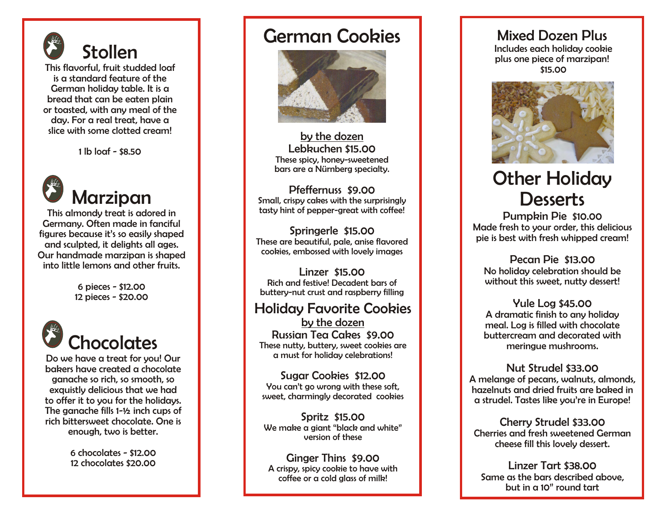

1 lb loaf - \$8.50



This almondy treat is adored in Germany. Often made in fanciful figures because it's so easily shaped and sculpted, it delights all ages. Our handmade marzipan is shaped into little lemons and other fruits.

> 6 pieces - \$12.00 12 pieces - \$20.00



Do we have a treat for you! Our bakers have created a chocolate ganache so rich, so smooth, so exquistly delicious that we had to offer it to you for the holidays. The ganache fills 1-½ inch cups of rich bittersweet chocolate. One is enough, two is better.

> 6 chocolates - \$12.00 12 chocolates \$20.00

#### German Cookies



by the dozen Lebkuchen \$15.00 These spicy, honey-sweetened bars are a Nürnberg specialty.

Pfeffernuss \$9.00 Small, crispy cakes with the surprisingly tasty hint of pepper-great with coffee!

Springerle \$15.00 These are beautiful, pale, anise flavored cookies, embossed with lovely images

Linzer \$15.00 Rich and festive! Decadent bars of buttery-nut crust and raspberry filling

#### Holiday Favorite Cookies

by the dozen Russian Tea Cakes \$9.00 These nutty, buttery, sweet cookies are a must for holiday celebrations!

Sugar Cookies \$12.00 You can't go wrong with these soft, sweet, charmingly decorated cookies

Spritz \$15.00 We make a giant "black and white" version of these

Ginger Thins \$9.00 A crispy, spicy cookie to have with coffee or a cold glass of milk!

#### Mixed Dozen Plus

 Includes each holiday cookie plus one piece of marzipan! \$15.00



### Other Holiday **Desserts**

Pumpkin Pie \$10.00 Made fresh to your order, this delicious pie is best with fresh whipped cream!

Pecan Pie \$13.00 No holiday celebration should be without this sweet, nutty dessert!

Yule Log \$45.00 A dramatic finish to any holiday meal. Log is filled with chocolate buttercream and decorated with meringue mushrooms.

Nut Strudel \$33.00 A melange of pecans, walnuts, almonds, hazelnuts and dried fruits are baked in a strudel. Tastes like you're in Europe!

Cherry Strudel \$33.00 Cherries and fresh sweetened German cheese fill this lovely dessert.

Linzer Tart \$38.00 Same as the bars described above, but in a 10" round tart